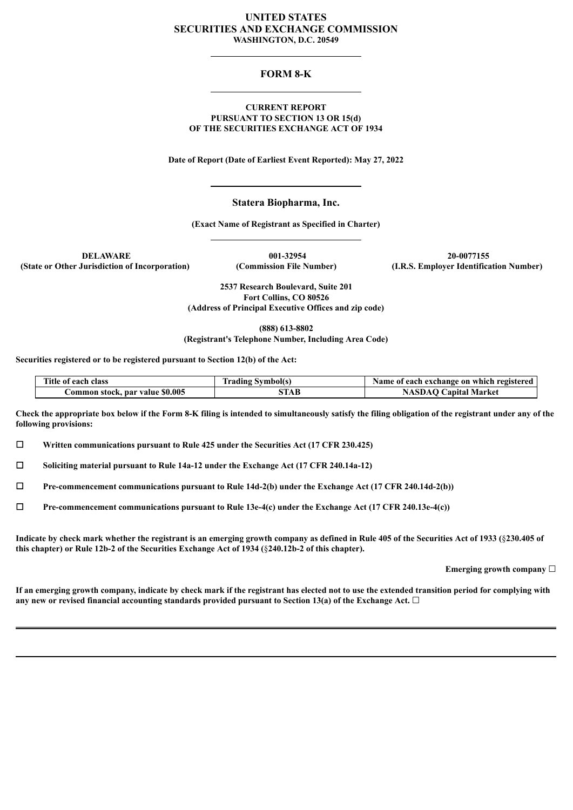### **UNITED STATES SECURITIES AND EXCHANGE COMMISSION WASHINGTON, D.C. 20549**

## **FORM 8-K**

#### **CURRENT REPORT PURSUANT TO SECTION 13 OR 15(d) OF THE SECURITIES EXCHANGE ACT OF 1934**

**Date of Report (Date of Earliest Event Reported): May 27, 2022**

### **Statera Biopharma, Inc.**

**(Exact Name of Registrant as Specified in Charter)**

**DELAWARE 001-32954 20-0077155 (State or Other Jurisdiction of Incorporation) (Commission File Number) (I.R.S. Employer Identification Number)**

> **2537 Research Boulevard, Suite 201 Fort Collins, CO 80526 (Address of Principal Executive Offices and zip code)**

**(888) 613-8802 (Registrant's Telephone Number, Including Area Code)**

**Securities registered or to be registered pursuant to Section 12(b) of the Act:**

| Title of each class             | <b>Trading Symbol(s)</b> | Name of each exchange on which registered |
|---------------------------------|--------------------------|-------------------------------------------|
| Common stock, par value \$0.005 | STAB                     | <b>NASDAQ Capital Market</b>              |

Check the appropriate box below if the Form 8-K filing is intended to simultaneously satisfy the filing obligation of the registrant under any of the **following provisions:**

☐ **Written communications pursuant to Rule 425 under the Securities Act (17 CFR 230.425)**

☐ **Soliciting material pursuant to Rule 14a-12 under the Exchange Act (17 CFR 240.14a-12)**

☐ **Pre-commencement communications pursuant to Rule 14d-2(b) under the Exchange Act (17 CFR 240.14d-2(b))**

☐ **Pre-commencement communications pursuant to Rule 13e-4(c) under the Exchange Act (17 CFR 240.13e-4(c))**

Indicate by check mark whether the registrant is an emerging growth company as defined in Rule 405 of the Securities Act of 1933 (§230.405 of **this chapter) or Rule 12b-2 of the Securities Exchange Act of 1934 (**§**240.12b-2 of this chapter).**

**Emerging growth company** ☐

If an emerging growth company, indicate by check mark if the registrant has elected not to use the extended transition period for complying with **any new or revised financial accounting standards provided pursuant to Section 13(a) of the Exchange Act.** ☐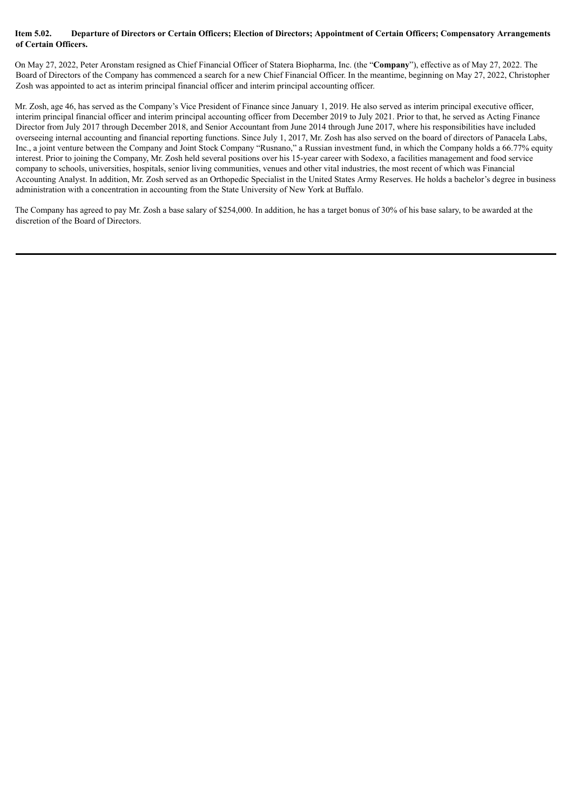#### Item 5.02. Departure of Directors or Certain Officers; Election of Directors; Appointment of Certain Officers; Compensatory Arrangements **of Certain Officers.**

On May 27, 2022, Peter Aronstam resigned as Chief Financial Officer of Statera Biopharma, Inc. (the "**Company**"), effective as of May 27, 2022. The Board of Directors of the Company has commenced a search for a new Chief Financial Officer. In the meantime, beginning on May 27, 2022, Christopher Zosh was appointed to act as interim principal financial officer and interim principal accounting officer.

Mr. Zosh, age 46, has served as the Company's Vice President of Finance since January 1, 2019. He also served as interim principal executive officer, interim principal financial officer and interim principal accounting officer from December 2019 to July 2021. Prior to that, he served as Acting Finance Director from July 2017 through December 2018, and Senior Accountant from June 2014 through June 2017, where his responsibilities have included overseeing internal accounting and financial reporting functions. Since July 1, 2017, Mr. Zosh has also served on the board of directors of Panacela Labs, Inc., a joint venture between the Company and Joint Stock Company "Rusnano," a Russian investment fund, in which the Company holds a 66.77% equity interest. Prior to joining the Company, Mr. Zosh held several positions over his 15-year career with Sodexo, a facilities management and food service company to schools, universities, hospitals, senior living communities, venues and other vital industries, the most recent of which was Financial Accounting Analyst. In addition, Mr. Zosh served as an Orthopedic Specialist in the United States Army Reserves. He holds a bachelor's degree in business administration with a concentration in accounting from the State University of New York at Buffalo.

The Company has agreed to pay Mr. Zosh a base salary of \$254,000. In addition, he has a target bonus of 30% of his base salary, to be awarded at the discretion of the Board of Directors.